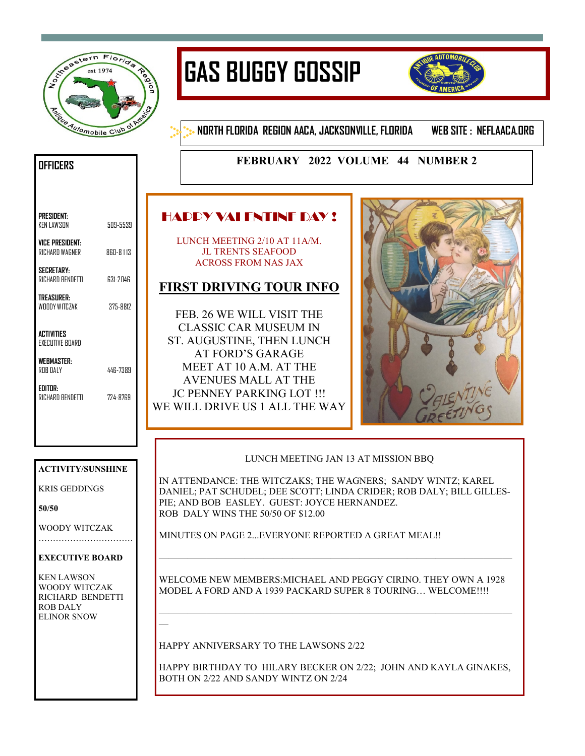

# **GAS BUGGY GOSSIP**



**NORTH FLORIDA REGION AACA, JACKSONVILLE, FLORIDA WEB SITE : NEFLAACA.ORG**

## **FEBRUARY 2022 VOLUME 44 NUMBER 2**

# HAPPY VALENTINE DAY !

LUNCH MEETING 2/10 AT 11A/M. JL TRENTS SEAFOOD ACROSS FROM NAS JAX

## **FIRST DRIVING TOUR INFO**

FEB. 26 WE WILL VISIT THE CLASSIC CAR MUSEUM IN ST. AUGUSTINE, THEN LUNCH AT FORD'S GARAGE MEET AT 10 A.M. AT THE AVENUES MALL AT THE JC PENNEY PARKING LOT !!! WE WILL DRIVE US 1 ALL THE WAY



### LUNCH MEETING JAN 13 AT MISSION BBQ

IN ATTENDANCE: THE WITCZAKS; THE WAGNERS; SANDY WINTZ; KAREL DANIEL; PAT SCHUDEL; DEE SCOTT; LINDA CRIDER; ROB DALY; BILL GILLES-PIE; AND BOB EASLEY. GUEST: JOYCE HERNANDEZ. ROB DALY WINS THE 50/50 OF \$12.00

MINUTES ON PAGE 2...EVERYONE REPORTED A GREAT MEAL!!

WELCOME NEW MEMBERS:MICHAEL AND PEGGY CIRINO. THEY OWN A 1928 MODEL A FORD AND A 1939 PACKARD SUPER 8 TOURING… WELCOME!!!!

—————————————————————————————————————

—————————————————————————————————————

HAPPY ANNIVERSARY TO THE LAWSONS 2/22

HAPPY BIRTHDAY TO HILARY BECKER ON 2/22; JOHN AND KAYLA GINAKES, BOTH ON 2/22 AND SANDY WINTZ ON 2/24

## **OFFICERS**

| PRESIDENT:<br>KEN LAWSON                 | 509-5539 |
|------------------------------------------|----------|
| <b>VICE PRESIDENT:</b><br>RICHARD WAGNER | 860-8113 |
| <b>SECRETARY</b><br>RICHARD BENDETTI     | 631-2046 |

**TREASURER:**  WOODY WITCZAK 375-8812

**ACTIVITIES**  EXECUTIVE BOARD

**WEBMASTER:**  ROB DALY 446-7389

**EDITOR:**  RICHARD BENDETTI 724-8769

#### **ACTIVITY/SUNSHINE**

KRIS GEDDINGS

**50/50**

WOODY WITCZAK ……………………………

#### **EXECUTIVE BOARD**

KEN LAWSON WOODY WITCZAK RICHARD BENDETTI ROB DALY ELINOR SNOW

—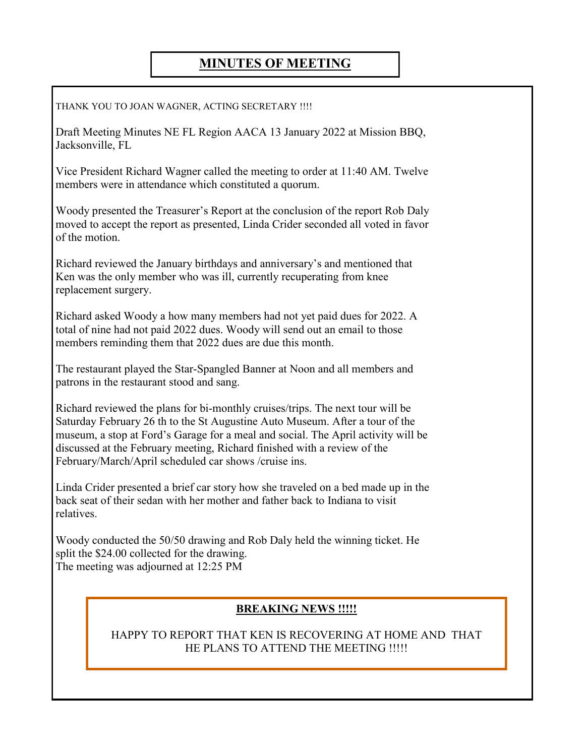# **MINUTES OF MEETING**

THANK YOU TO JOAN WAGNER, ACTING SECRETARY !!!!

Draft Meeting Minutes NE FL Region AACA 13 January 2022 at Mission BBQ, Jacksonville, FL

Vice President Richard Wagner called the meeting to order at 11:40 AM. Twelve members were in attendance which constituted a quorum.

Woody presented the Treasurer's Report at the conclusion of the report Rob Daly moved to accept the report as presented, Linda Crider seconded all voted in favor of the motion.

Richard reviewed the January birthdays and anniversary's and mentioned that Ken was the only member who was ill, currently recuperating from knee replacement surgery.

Richard asked Woody a how many members had not yet paid dues for 2022. A total of nine had not paid 2022 dues. Woody will send out an email to those members reminding them that 2022 dues are due this month.

The restaurant played the Star-Spangled Banner at Noon and all members and patrons in the restaurant stood and sang.

Richard reviewed the plans for bi-monthly cruises/trips. The next tour will be Saturday February 26 th to the St Augustine Auto Museum. After a tour of the museum, a stop at Ford's Garage for a meal and social. The April activity will be discussed at the February meeting, Richard finished with a review of the February/March/April scheduled car shows /cruise ins.

Linda Crider presented a brief car story how she traveled on a bed made up in the back seat of their sedan with her mother and father back to Indiana to visit relatives.

Woody conducted the 50/50 drawing and Rob Daly held the winning ticket. He split the \$24.00 collected for the drawing. The meeting was adjourned at 12:25 PM

## **BREAKING NEWS !!!!!**

HAPPY TO REPORT THAT KEN IS RECOVERING AT HOME AND THAT HE PLANS TO ATTEND THE MEETING !!!!!